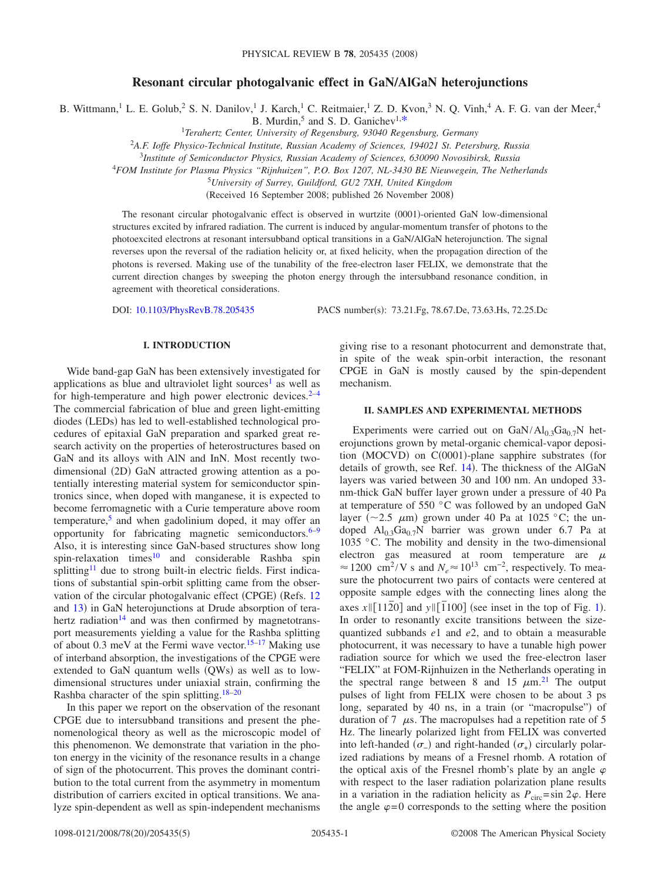# **Resonant circular photogalvanic effect in GaN/AlGaN heterojunctions**

B. Wittmann,<sup>1</sup> L. E. Golub,<sup>2</sup> S. N. Danilov,<sup>1</sup> J. Karch,<sup>1</sup> C. Reitmaier,<sup>1</sup> Z. D. Kvon,<sup>3</sup> N. Q. Vinh,<sup>4</sup> A. F. G. van der Meer,<sup>4</sup> B. Murdin,<sup>5</sup> and S. D. Ganichev<sup>1,\*</sup>

B. Murdin,5 and S. D. Ganichev1[,\\*](#page-3-0) <sup>1</sup> *Terahertz Center, University of Regensburg, 93040 Regensburg, Germany*

<sup>2</sup>*A.F. Ioffe Physico-Technical Institute, Russian Academy of Sciences, 194021 St. Petersburg, Russia*

<sup>3</sup>*Institute of Semiconductor Physics, Russian Academy of Sciences, 630090 Novosibirsk, Russia*

4 *FOM Institute for Plasma Physics "Rijnhuizen", P.O. Box 1207, NL-3430 BE Nieuwegein, The Netherlands*

5 *University of Surrey, Guildford, GU2 7XH, United Kingdom*

(Received 16 September 2008; published 26 November 2008)

The resonant circular photogalvanic effect is observed in wurtzite (0001)-oriented GaN low-dimensional structures excited by infrared radiation. The current is induced by angular-momentum transfer of photons to the photoexcited electrons at resonant intersubband optical transitions in a GaN/AlGaN heterojunction. The signal reverses upon the reversal of the radiation helicity or, at fixed helicity, when the propagation direction of the photons is reversed. Making use of the tunability of the free-electron laser FELIX, we demonstrate that the current direction changes by sweeping the photon energy through the intersubband resonance condition, in agreement with theoretical considerations.

DOI: [10.1103/PhysRevB.78.205435](http://dx.doi.org/10.1103/PhysRevB.78.205435)

PACS number(s): 73.21.Fg, 78.67.De, 73.63.Hs, 72.25.Dc

## **I. INTRODUCTION**

Wide band-gap GaN has been extensively investigated for applications as blue and ultraviolet light sources<sup>1</sup> as well as for high-temperature and high power electronic devices. $2-4$  $2-4$ The commercial fabrication of blue and green light-emitting diodes (LEDs) has led to well-established technological procedures of epitaxial GaN preparation and sparked great research activity on the properties of heterostructures based on GaN and its alloys with AlN and InN. Most recently twodimensional (2D) GaN attracted growing attention as a potentially interesting material system for semiconductor spintronics since, when doped with manganese, it is expected to become ferromagnetic with a Curie temperature above room temperature,<sup>5</sup> and when gadolinium doped, it may offer an opportunity for fabricating magnetic semiconductors. $6-9$ Also, it is interesting since GaN-based structures show long spin-relaxation times<sup>10</sup> and considerable Rashba spin splitting<sup>11</sup> due to strong built-in electric fields. First indications of substantial spin-orbit splitting came from the obser-vation of the circular photogalvanic effect (CPGE) (Refs. [12](#page-4-1) and [13](#page-4-2)) in GaN heterojunctions at Drude absorption of terahertz radiation<sup>14</sup> and was then confirmed by magnetotransport measurements yielding a value for the Rashba splitting of about 0.3 meV at the Fermi wave vector.<sup>15–[17](#page-4-5)</sup> Making use of interband absorption, the investigations of the CPGE were extended to GaN quantum wells (QWs) as well as to lowdimensional structures under uniaxial strain, confirming the Rashba character of the spin splitting[.18](#page-4-6)[–20](#page-4-7)

In this paper we report on the observation of the resonant CPGE due to intersubband transitions and present the phenomenological theory as well as the microscopic model of this phenomenon. We demonstrate that variation in the photon energy in the vicinity of the resonance results in a change of sign of the photocurrent. This proves the dominant contribution to the total current from the asymmetry in momentum distribution of carriers excited in optical transitions. We analyze spin-dependent as well as spin-independent mechanisms

giving rise to a resonant photocurrent and demonstrate that, in spite of the weak spin-orbit interaction, the resonant CPGE in GaN is mostly caused by the spin-dependent mechanism.

## **II. SAMPLES AND EXPERIMENTAL METHODS**

Experiments were carried out on  $GaN/Al<sub>0.3</sub>Ga<sub>0.7</sub>N$  heterojunctions grown by metal-organic chemical-vapor deposition (MOCVD) on C(0001)-plane sapphire substrates (for details of growth, see Ref. [14](#page-4-3)). The thickness of the AlGaN layers was varied between 30 and 100 nm. An undoped 33 nm-thick GaN buffer layer grown under a pressure of 40 Pa at temperature of 550 °C was followed by an undoped GaN layer ( $\sim$ 2.5  $\mu$ m) grown under 40 Pa at 1025 °C; the undoped  $Al_0$ <sub>3</sub>Ga<sub>0.7</sub>N barrier was grown under 6.7 Pa at 1035 °C. The mobility and density in the two-dimensional electron gas measured at room temperature are  $\mu$  $\approx$  1200 cm<sup>2</sup>/V s and  $N_e \approx 10^{13}$  cm<sup>-2</sup>, respectively. To measure the photocurrent two pairs of contacts were centered at opposite sample edges with the connecting lines along the axes  $x \parallel [11\overline{2}0]$  $x \parallel [11\overline{2}0]$  $x \parallel [11\overline{2}0]$  and  $y \parallel [\overline{1}100]$  (see inset in the top of Fig. 1). In order to resonantly excite transitions between the sizequantized subbands *e*1 and *e*2, and to obtain a measurable photocurrent, it was necessary to have a tunable high power radiation source for which we used the free-electron laser "FELIX" at FOM-Rijnhuizen in the Netherlands operating in the spectral range between 8 and 15  $\mu$ m.<sup>[21](#page-4-8)</sup> The output pulses of light from FELIX were chosen to be about 3 ps long, separated by 40 ns, in a train (or "macropulse") of duration of 7  $\mu$ s. The macropulses had a repetition rate of 5 Hz. The linearly polarized light from FELIX was converted into left-handed  $(\sigma_{-})$  and right-handed  $(\sigma_{+})$  circularly polarized radiations by means of a Fresnel rhomb. A rotation of the optical axis of the Fresnel rhomb's plate by an angle  $\varphi$ with respect to the laser radiation polarization plane results in a variation in the radiation helicity as  $P_{\text{circ}} = \sin 2\varphi$ . Here the angle  $\varphi = 0$  corresponds to the setting where the position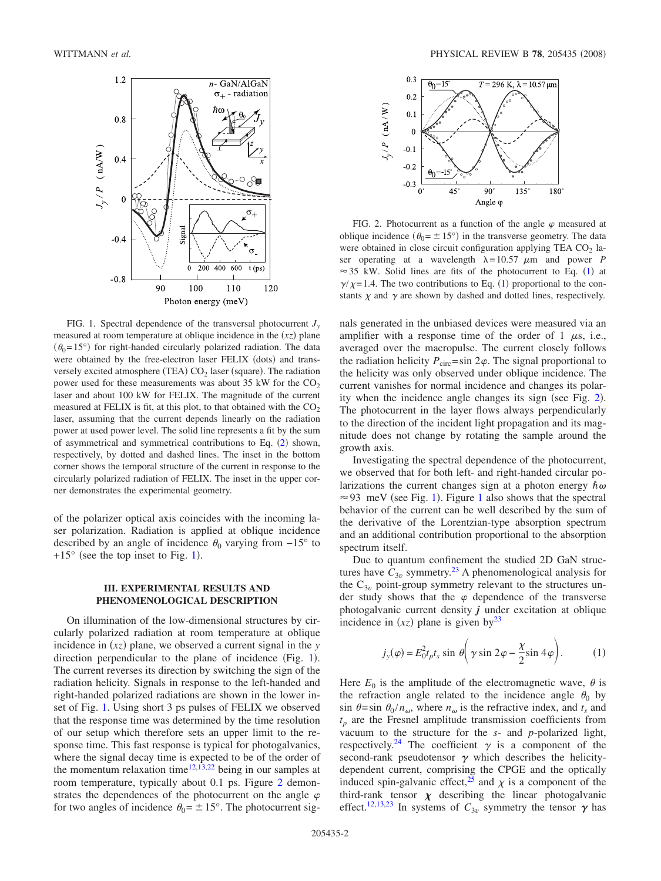<span id="page-1-0"></span>

FIG. 1. Spectral dependence of the transversal photocurrent *J*<sub>*w*</sub> measured at room temperature at oblique incidence in the  $(xz)$  plane  $(\theta_0 = 15^{\circ})$  for right-handed circularly polarized radiation. The data were obtained by the free-electron laser FELIX (dots) and transversely excited atmosphere (TEA)  $CO<sub>2</sub>$  laser (square). The radiation power used for these measurements was about 35 kW for the  $CO<sub>2</sub>$ laser and about 100 kW for FELIX. The magnitude of the current measured at FELIX is fit, at this plot, to that obtained with the  $CO<sub>2</sub>$ laser, assuming that the current depends linearly on the radiation power at used power level. The solid line represents a fit by the sum of asymmetrical and symmetrical contributions to Eq.  $(2)$  $(2)$  $(2)$  shown, respectively, by dotted and dashed lines. The inset in the bottom corner shows the temporal structure of the current in response to the circularly polarized radiation of FELIX. The inset in the upper corner demonstrates the experimental geometry.

of the polarizer optical axis coincides with the incoming laser polarization. Radiation is applied at oblique incidence described by an angle of incidence  $\theta_0$  varying from  $-15^\circ$  to  $+15^{\circ}$  $+15^{\circ}$  $+15^{\circ}$  (see the top inset to Fig. 1).

# **III. EXPERIMENTAL RESULTS AND PHENOMENOLOGICAL DESCRIPTION**

On illumination of the low-dimensional structures by circularly polarized radiation at room temperature at oblique incidence in  $(xz)$  plane, we observed a current signal in the *y* direction perpendicular to the plane of incidence (Fig. [1](#page-1-0)). The current reverses its direction by switching the sign of the radiation helicity. Signals in response to the left-handed and right-handed polarized radiations are shown in the lower inset of Fig. [1.](#page-1-0) Using short 3 ps pulses of FELIX we observed that the response time was determined by the time resolution of our setup which therefore sets an upper limit to the response time. This fast response is typical for photogalvanics, where the signal decay time is expected to be of the order of the momentum relaxation time<sup>12[,13](#page-4-2)[,22](#page-4-9)</sup> being in our samples at room temperature, typically about 0.1 ps. Figure [2](#page-1-1) demonstrates the dependences of the photocurrent on the angle  $\varphi$ for two angles of incidence  $\theta_0 = \pm 15^\circ$ . The photocurrent sig-

<span id="page-1-1"></span>

FIG. 2. Photocurrent as a function of the angle  $\varphi$  measured at oblique incidence  $(\theta_0 = \pm 15^{\circ})$  in the transverse geometry. The data were obtained in close circuit configuration applying TEA  $CO<sub>2</sub>$  laser operating at a wavelength  $\lambda = 10.57 \mu m$  and power *P*  $\approx$  35 kW. Solid lines are fits of the photocurrent to Eq. ([1](#page-1-2)) at  $\gamma/\chi$ =[1](#page-1-2).4. The two contributions to Eq. (1) proportional to the constants  $\chi$  and  $\gamma$  are shown by dashed and dotted lines, respectively.

nals generated in the unbiased devices were measured via an amplifier with a response time of the order of 1  $\mu$ s, i.e., averaged over the macropulse. The current closely follows the radiation helicity  $P_{\text{circ}} = \sin 2\varphi$ . The signal proportional to the helicity was only observed under oblique incidence. The current vanishes for normal incidence and changes its polar-ity when the incidence angle changes its sign (see Fig. [2](#page-1-1)). The photocurrent in the layer flows always perpendicularly to the direction of the incident light propagation and its magnitude does not change by rotating the sample around the growth axis.

Investigating the spectral dependence of the photocurrent, we observed that for both left- and right-handed circular polarizations the current changes sign at a photon energy  $\hbar \omega$  $\approx$  93 meV (see Fig. [1](#page-1-0)). Figure 1 also shows that the spectral behavior of the current can be well described by the sum of the derivative of the Lorentzian-type absorption spectrum and an additional contribution proportional to the absorption spectrum itself.

Due to quantum confinement the studied 2D GaN structures have  $C_{3v}$  symmetry.<sup>23</sup> A phenomenological analysis for the  $C_{3v}$  point-group symmetry relevant to the structures under study shows that the  $\varphi$  dependence of the transverse photogalvanic current density *j* under excitation at oblique incidence in  $(xz)$  plane is given by<sup>23</sup>

$$
j_{y}(\varphi) = E_{0}^{2} t_{p} t_{s} \sin \theta \left( \gamma \sin 2\varphi - \frac{\chi}{2} \sin 4\varphi \right). \tag{1}
$$

<span id="page-1-2"></span>Here  $E_0$  is the amplitude of the electromagnetic wave,  $\theta$  is the refraction angle related to the incidence angle  $\theta_0$  by  $\sin \theta = \sin \theta_0 / n_{\omega}$ , where  $n_{\omega}$  is the refractive index, and  $t_s$  and  $t_p$  are the Fresnel amplitude transmission coefficients from vacuum to the structure for the *s*- and *p*-polarized light, respectively.<sup>24</sup> The coefficient  $\gamma$  is a component of the second-rank pseudotensor  $\gamma$  which describes the helicitydependent current, comprising the CPGE and the optically induced spin-galvanic effect,<sup>25</sup> and  $\chi$  is a component of the third-rank tensor  $\chi$  describing the linear photogalvanic effect.<sup>12,[13](#page-4-2)[,23](#page-4-10)</sup> In systems of  $C_{3v}$  symmetry the tensor  $\gamma$  has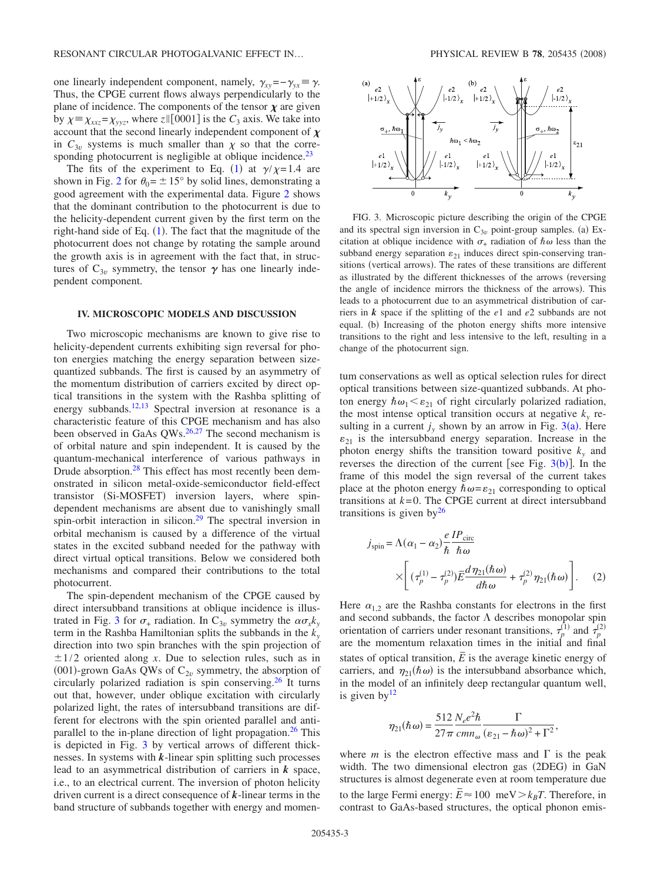one linearly independent component, namely,  $\gamma_{xy} = -\gamma_{yx} \equiv \gamma$ . Thus, the CPGE current flows always perpendicularly to the plane of incidence. The components of the tensor  $\chi$  are given by  $\chi = \chi_{xxz} = \chi_{yyz}$ , where  $z \parallel [0001]$  is the  $C_3$  axis. We take into account that the second linearly independent component of  $\chi$ in  $C_{3v}$  systems is much smaller than  $\chi$  so that the corresponding photocurrent is negligible at oblique incidence. $^{23}$ 

The fits of the experiment to Eq. ([1](#page-1-2)) at  $\gamma / \chi = 1.4$  are shown in Fig. [2](#page-1-1) for  $\theta_0 = \pm 15^\circ$  by solid lines, demonstrating a good agreement with the experimental data. Figure [2](#page-1-1) shows that the dominant contribution to the photocurrent is due to the helicity-dependent current given by the first term on the right-hand side of Eq.  $(1)$  $(1)$  $(1)$ . The fact that the magnitude of the photocurrent does not change by rotating the sample around the growth axis is in agreement with the fact that, in structures of  $C_{3v}$  symmetry, the tensor  $\gamma$  has one linearly independent component.

#### **IV. MICROSCOPIC MODELS AND DISCUSSION**

Two microscopic mechanisms are known to give rise to helicity-dependent currents exhibiting sign reversal for photon energies matching the energy separation between sizequantized subbands. The first is caused by an asymmetry of the momentum distribution of carriers excited by direct optical transitions in the system with the Rashba splitting of energy subbands[.12,](#page-4-1)[13](#page-4-2) Spectral inversion at resonance is a characteristic feature of this CPGE mechanism and has also been observed in GaAs QWs.<sup>26,[27](#page-4-14)</sup> The second mechanism is of orbital nature and spin independent. It is caused by the quantum-mechanical interference of various pathways in Drude absorption.<sup>28</sup> This effect has most recently been demonstrated in silicon metal-oxide-semiconductor field-effect transistor (Si-MOSFET) inversion layers, where spindependent mechanisms are absent due to vanishingly small spin-orbit interaction in silicon.<sup>29</sup> The spectral inversion in orbital mechanism is caused by a difference of the virtual states in the excited subband needed for the pathway with direct virtual optical transitions. Below we considered both mechanisms and compared their contributions to the total photocurrent.

The spin-dependent mechanism of the CPGE caused by direct intersubband transitions at oblique incidence is illus-trated in Fig. [3](#page-2-1) for  $\sigma_{+}$  radiation. In C<sub>3*v*</sub> symmetry the  $\alpha \sigma_{x} k_{y}$ term in the Rashba Hamiltonian splits the subbands in the  $k_y$ direction into two spin branches with the spin projection of  $\pm 1/2$  oriented along *x*. Due to selection rules, such as in (001)-grown GaAs QWs of  $C_{2v}$  symmetry, the absorption of circularly polarized radiation is spin conserving[.26](#page-4-13) It turns out that, however, under oblique excitation with circularly polarized light, the rates of intersubband transitions are different for electrons with the spin oriented parallel and antiparallel to the in-plane direction of light propagation.<sup>26</sup> This is depicted in Fig. [3](#page-2-1) by vertical arrows of different thicknesses. In systems with *k*-linear spin splitting such processes lead to an asymmetrical distribution of carriers in *k* space, i.e., to an electrical current. The inversion of photon helicity driven current is a direct consequence of *k*-linear terms in the band structure of subbands together with energy and momen-

<span id="page-2-1"></span>

FIG. 3. Microscopic picture describing the origin of the CPGE and its spectral sign inversion in  $C_{3v}$  point-group samples. (a) Excitation at oblique incidence with  $\sigma_{+}$  radiation of  $\hbar \omega$  less than the subband energy separation  $\varepsilon_{21}$  induces direct spin-conserving transitions (vertical arrows). The rates of these transitions are different as illustrated by the different thicknesses of the arrows (reversing the angle of incidence mirrors the thickness of the arrows). This leads to a photocurrent due to an asymmetrical distribution of carriers in *k* space if the splitting of the *e*1 and *e*2 subbands are not equal. (b) Increasing of the photon energy shifts more intensive transitions to the right and less intensive to the left, resulting in a change of the photocurrent sign.

tum conservations as well as optical selection rules for direct optical transitions between size-quantized subbands. At photon energy  $\hbar \omega_1 \leq \varepsilon_{21}$  of right circularly polarized radiation, the most intense optical transition occurs at negative  $k_y$  resulting in a current  $j_y$  shown by an arrow in Fig. [3](#page-2-1)(a). Here  $\varepsilon_{21}$  is the intersubband energy separation. Increase in the photon energy shifts the transition toward positive  $k_{v}$  and reverses the direction of the current [see Fig.  $3(b)$  $3(b)$ ]. In the frame of this model the sign reversal of the current takes place at the photon energy  $\hbar \omega = \varepsilon_{21}$  corresponding to optical transitions at  $k=0$ . The CPGE current at direct intersubband transitions is given  $by<sup>26</sup>$ 

<span id="page-2-0"></span>
$$
j_{\text{spin}} = \Lambda(\alpha_1 - \alpha_2) \frac{e}{\hbar} \frac{IP_{\text{circ}}}{\hbar \omega} \times \left[ (\tau_p^{(1)} - \tau_p^{(2)}) \frac{E}{\hbar} \frac{d\eta_{21}(\hbar \omega)}{d\hbar \omega} + \tau_p^{(2)} \eta_{21}(\hbar \omega) \right]. \tag{2}
$$

Here  $\alpha_{1,2}$  are the Rashba constants for electrons in the first and second subbands, the factor  $\Lambda$  describes monopolar spin orientation of carriers under resonant transitions,  $\tau_p^{(1)}$  and  $\tau_p^{(2)}$ are the momentum relaxation times in the initial and final states of optical transition,  $\overline{E}$  is the average kinetic energy of carriers, and  $\eta_{21}(\hbar \omega)$  is the intersubband absorbance which, in the model of an infinitely deep rectangular quantum well, is given  $by<sup>12</sup>$ 

$$
\eta_{21}(\hbar\omega) = \frac{512}{27\pi} \frac{N_e e^2 \hbar}{cm n_e} \frac{\Gamma}{(\varepsilon_{21} - \hbar\omega)^2 + \Gamma^2},
$$

where *m* is the electron effective mass and  $\Gamma$  is the peak width. The two dimensional electron gas (2DEG) in GaN structures is almost degenerate even at room temperature due to the large Fermi energy:  $\vec{E} \approx 100 \text{ meV} > k_B T$ . Therefore, in contrast to GaAs-based structures, the optical phonon emis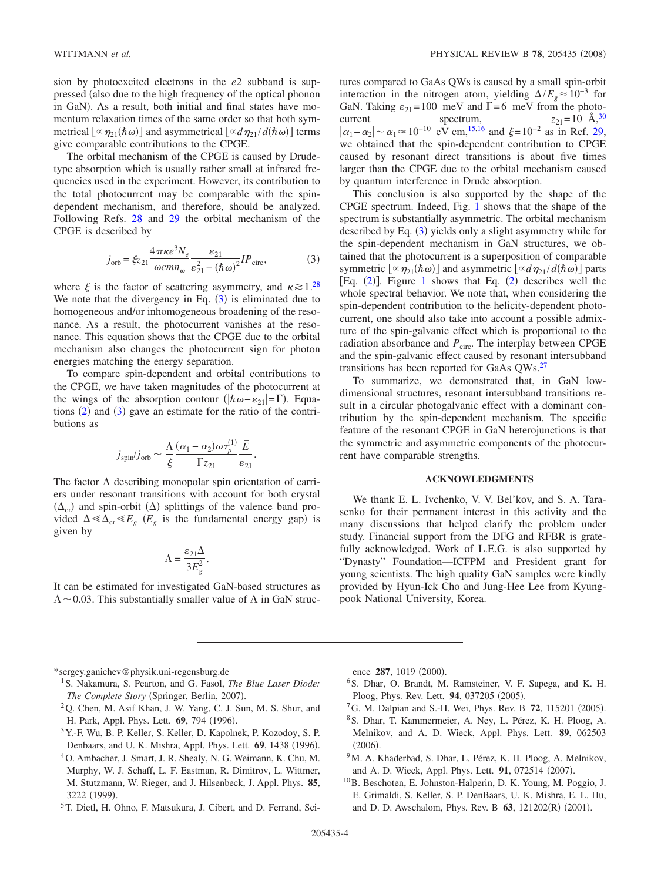sion by photoexcited electrons in the *e*2 subband is suppressed (also due to the high frequency of the optical phonon in GaN). As a result, both initial and final states have momentum relaxation times of the same order so that both symmetrical  $\left[\alpha \eta_{21}(\hbar \omega)\right]$  and asymmetrical  $\left[\alpha d \eta_{21} / d(\hbar \omega)\right]$  terms give comparable contributions to the CPGE.

The orbital mechanism of the CPGE is caused by Drudetype absorption which is usually rather small at infrared frequencies used in the experiment. However, its contribution to the total photocurrent may be comparable with the spindependent mechanism, and therefore, should be analyzed. Following Refs. [28](#page-4-15) and [29](#page-4-16) the orbital mechanism of the CPGE is described by

$$
j_{\rm orb} = \xi z_{21} \frac{4\pi\kappa e^3 N_e}{\omega c m n_\omega} \frac{\varepsilon_{21}}{\varepsilon_{21}^2 - (\hbar \omega)^2} I P_{\rm circ},\tag{3}
$$

<span id="page-3-8"></span>where  $\xi$  is the factor of scattering asymmetry, and  $\kappa \gtrsim 1.28$  $\kappa \gtrsim 1.28$ We note that the divergency in Eq.  $(3)$  $(3)$  $(3)$  is eliminated due to homogeneous and/or inhomogeneous broadening of the resonance. As a result, the photocurrent vanishes at the resonance. This equation shows that the CPGE due to the orbital mechanism also changes the photocurrent sign for photon energies matching the energy separation.

To compare spin-dependent and orbital contributions to the CPGE, we have taken magnitudes of the photocurrent at the wings of the absorption contour ( $|\hbar \omega - \varepsilon_{21}| = \Gamma$ ). Equations  $(2)$  $(2)$  $(2)$  and  $(3)$  $(3)$  $(3)$  gave an estimate for the ratio of the contributions as

$$
j_{\text{spin}}/j_{\text{orb}} \sim \frac{\Lambda}{\xi} \frac{(\alpha_1 - \alpha_2) \omega \tau_p^{(1)}}{\Gamma z_{21}} \frac{\bar{E}}{\varepsilon_{21}}.
$$

The factor  $\Lambda$  describing monopolar spin orientation of carriers under resonant transitions with account for both crystal  $(\Delta_{cr})$  and spin-orbit  $(\Delta)$  splittings of the valence band provided  $\Delta \ll \Delta_{cr} \ll E_g$  ( $E_g$  is the fundamental energy gap) is given by

$$
\Lambda = \frac{\varepsilon_{21}\Delta}{3E_g^2}.
$$

It can be estimated for investigated GaN-based structures as  $\Lambda$  ~ 0.03. This substantially smaller value of  $\Lambda$  in GaN structures compared to GaAs QWs is caused by a small spin-orbit interaction in the nitrogen atom, yielding  $\Delta/E_e \approx 10^{-3}$  for GaN. Taking  $\varepsilon_{21}$  = 100 meV and  $\Gamma$  = 6 meV from the photocurrent spectrum,  $z_{21} = 10 \text{ Å}^{30}$  $|\alpha_1 - \alpha_2|$  ~  $\alpha_1 \approx 10^{-10}$  eV cm,<sup>15,[16](#page-4-18)</sup> and  $\xi = 10^{-2}$  as in Ref. [29,](#page-4-16) we obtained that the spin-dependent contribution to CPGE caused by resonant direct transitions is about five times larger than the CPGE due to the orbital mechanism caused by quantum interference in Drude absorption.

This conclusion is also supported by the shape of the CPGE spectrum. Indeed, Fig. [1](#page-1-0) shows that the shape of the spectrum is substantially asymmetric. The orbital mechanism described by Eq. ([3](#page-3-8)) yields only a slight asymmetry while for the spin-dependent mechanism in GaN structures, we obtained that the photocurrent is a superposition of comparable symmetric  $\left[\alpha \eta_{21}(\hbar \omega)\right]$  and asymmetric  $\left[\alpha d \eta_{21} / d(\hbar \omega)\right]$  parts [Eq.  $(2)$  $(2)$  $(2)$ ]. Figure [1](#page-1-0) shows that Eq.  $(2)$  describes well the whole spectral behavior. We note that, when considering the spin-dependent contribution to the helicity-dependent photocurrent, one should also take into account a possible admixture of the spin-galvanic effect which is proportional to the radiation absorbance and  $P_{\text{circ}}$ . The interplay between CPGE and the spin-galvanic effect caused by resonant intersubband transitions has been reported for GaAs QWs[.27](#page-4-14)

To summarize, we demonstrated that, in GaN lowdimensional structures, resonant intersubband transitions result in a circular photogalvanic effect with a dominant contribution by the spin-dependent mechanism. The specific feature of the resonant CPGE in GaN heterojunctions is that the symmetric and asymmetric components of the photocurrent have comparable strengths.

# **ACKNOWLEDGMENTS**

We thank E. L. Ivchenko, V. V. Bel'kov, and S. A. Tarasenko for their permanent interest in this activity and the many discussions that helped clarify the problem under study. Financial support from the DFG and RFBR is gratefully acknowledged. Work of L.E.G. is also supported by "Dynasty" Foundation—ICFPM and President grant for young scientists. The high quality GaN samples were kindly provided by Hyun-Ick Cho and Jung-Hee Lee from Kyungpook National University, Korea.

\*sergey.ganichev@physik.uni-regensburg.de

- <span id="page-3-0"></span>1S. Nakamura, S. Pearton, and G. Fasol, *The Blue Laser Diode:* The Complete Story (Springer, Berlin, 2007).
- <span id="page-3-1"></span>2Q. Chen, M. Asif Khan, J. W. Yang, C. J. Sun, M. S. Shur, and H. Park, Appl. Phys. Lett. 69, 794 (1996).
- <span id="page-3-2"></span>3Y.-F. Wu, B. P. Keller, S. Keller, D. Kapolnek, P. Kozodoy, S. P. Denbaars, and U. K. Mishra, Appl. Phys. Lett. 69, 1438 (1996).
- <span id="page-3-3"></span>4O. Ambacher, J. Smart, J. R. Shealy, N. G. Weimann, K. Chu, M. Murphy, W. J. Schaff, L. F. Eastman, R. Dimitrov, L. Wittmer, M. Stutzmann, W. Rieger, and J. Hilsenbeck, J. Appl. Phys. **85**, 3222 (1999).
- <span id="page-3-4"></span>5T. Dietl, H. Ohno, F. Matsukura, J. Cibert, and D. Ferrand, Sci-

ence 287, 1019 (2000).

- 6S. Dhar, O. Brandt, M. Ramsteiner, V. F. Sapega, and K. H. Ploog, Phys. Rev. Lett. 94, 037205 (2005).
- <span id="page-3-5"></span><sup>7</sup>G. M. Dalpian and S.-H. Wei, Phys. Rev. B 72, 115201 (2005).
- 8S. Dhar, T. Kammermeier, A. Ney, L. Pérez, K. H. Ploog, A. Melnikov, and A. D. Wieck, Appl. Phys. Lett. **89**, 062503  $(2006).$
- <sup>9</sup>M. A. Khaderbad, S. Dhar, L. Pérez, K. H. Ploog, A. Melnikov, and A. D. Wieck, Appl. Phys. Lett. 91, 072514 (2007).
- <span id="page-3-7"></span><span id="page-3-6"></span>10B. Beschoten, E. Johnston-Halperin, D. K. Young, M. Poggio, J. E. Grimaldi, S. Keller, S. P. DenBaars, U. K. Mishra, E. L. Hu, and D. D. Awschalom, Phys. Rev. B 63, 121202(R) (2001).